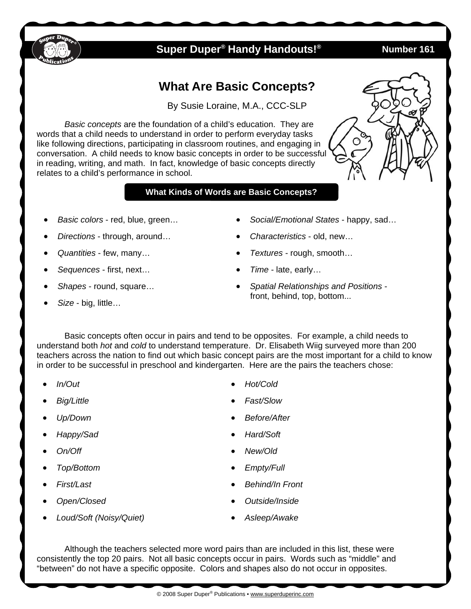

## **Super Duper® Handy Handouts!® Number 161**

# **What Are Basic Concepts?**

By Susie Loraine, M.A., CCC-SLP

*Basic concepts* are the foundation of a child's education. They are words that a child needs to understand in order to perform everyday tasks like following directions, participating in classroom routines, and engaging in conversation. A child needs to know basic concepts in order to be successful in reading, writing, and math. In fact, knowledge of basic concepts directly relates to a child's performance in school.

#### **What Kinds of Words are Basic Concepts?**

- *Basic colors*  red, blue, green…
- *Directions*  through, around…
- *Quantities*  few, many…
- *Sequences* first, next…
- *Shapes* round, square…
- *Size*  big, little…
- *Social/Emotional States*  happy, sad…
- *Characteristics*  old, new…
- *Textures* rough, smooth…
- *Time* late, early…
- *Spatial Relationships and Positions*  front, behind, top, bottom...

 Basic concepts often occur in pairs and tend to be opposites. For example, a child needs to understand both *hot* and *cold* to understand temperature. Dr. Elisabeth Wiig surveyed more than 200 teachers across the nation to find out which basic concept pairs are the most important for a child to know in order to be successful in preschool and kindergarten. Here are the pairs the teachers chose:

- *In/Out*
- *Big/Little*
- *Up/Down*
- *Happy/Sad*
- *On/Off*
- *Top/Bottom*
- *First/Last*
- *Open/Closed*
- *Loud/Soft (Noisy/Quiet)*
- *Hot/Cold*
- *Fast/Slow*
- *Before/After*
- *Hard/Soft*
- *New/Old*
- *Empty/Full*
- *Behind/In Front*
- *Outside/Inside*
- *Asleep/Awake*

Although the teachers selected more word pairs than are included in this list, these were consistently the top 20 pairs. Not all basic concepts occur in pairs. Words such as "middle" and "between" do not have a specific opposite. Colors and shapes also do not occur in opposites.



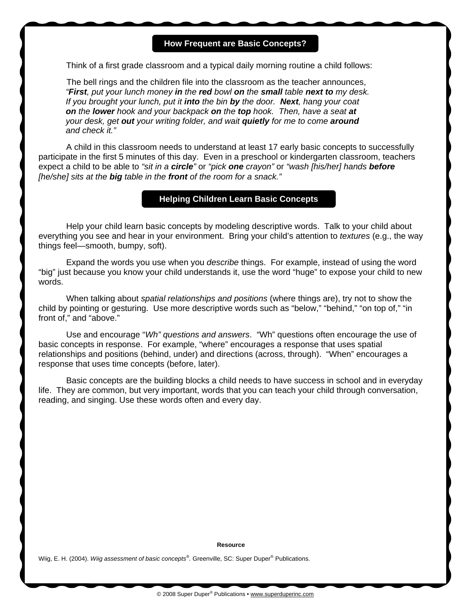#### **How Frequent are Basic Concepts?**

Think of a first grade classroom and a typical daily morning routine a child follows:

The bell rings and the children file into the classroom as the teacher announces, *"First, put your lunch money in the red bowl on the small table next to my desk. If you brought your lunch, put it into the bin by the door. Next, hang your coat on the lower hook and your backpack on the top hook. Then, have a seat at your desk, get out your writing folder, and wait quietly for me to come around and check it."*

 A child in this classroom needs to understand at least 17 early basic concepts to successfully participate in the first 5 minutes of this day. Even in a preschool or kindergarten classroom, teachers expect a child to be able to *"sit in a circle"* or *"pick one crayon"* or *"wash [his/her] hands before [he/she] sits at the big table in the front of the room for a snack."*

#### **Helping Children Learn Basic Concepts**

 Help your child learn basic concepts by modeling descriptive words. Talk to your child about everything you see and hear in your environment. Bring your child's attention to *textures* (e.g., the way things feel—smooth, bumpy, soft).

 Expand the words you use when you *describe* things. For example, instead of using the word "big" just because you know your child understands it, use the word "huge" to expose your child to new words.

 When talking about *spatial relationships and positions* (where things are), try not to show the child by pointing or gesturing. Use more descriptive words such as "below," "behind," "on top of," "in front of," and "above."

 Use and encourage "*Wh" questions and answers*. "Wh" questions often encourage the use of basic concepts in response. For example, "where" encourages a response that uses spatial relationships and positions (behind, under) and directions (across, through). "When" encourages a response that uses time concepts (before, later).

 Basic concepts are the building blocks a child needs to have success in school and in everyday life. They are common, but very important, words that you can teach your child through conversation, reading, and singing. Use these words often and every day.

#### **Resource**

Wiig, E. H. (2004). *Wiig assessment of basic concepts®.* Greenville, SC: Super Duper® Publications.